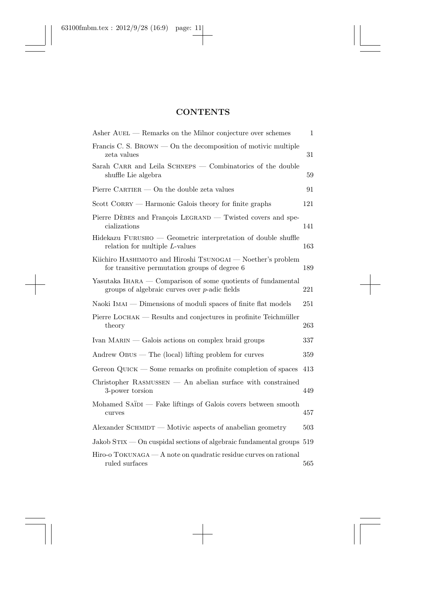## **CONTENTS**

| Asher AUEL — Remarks on the Milnor conjecture over schemes                                                       | $\mathbf{1}$ |
|------------------------------------------------------------------------------------------------------------------|--------------|
| Francis C. S. BROWN $-$ On the decomposition of motivic multiple<br>zeta values                                  | 31           |
| Sarah CARR and Leila SCHNEPS — Combinatorics of the double<br>shuffle Lie algebra                                | 59           |
| Pierre CARTIER $-$ On the double zeta values                                                                     | 91           |
| $Scott \text{ CORRY}$ – Harmonic Galois theory for finite graphs                                                 | 121          |
| Pierre DÈBES and François LEGRAND — Twisted covers and spe-<br>cializations                                      | 141          |
| Hidekazu FURUSHO — Geometric interpretation of double shuffle<br>relation for multiple $L$ -values               | 163          |
| Kiichiro HASHIMOTO and Hiroshi TSUNOGAI — Noether's problem<br>for transitive permutation groups of degree 6     | 189          |
| Yasutaka IHARA — Comparison of some quotients of fundamental<br>groups of algebraic curves over $p$ -adic fields | 221          |
| Naoki IMAI — Dimensions of moduli spaces of finite flat models                                                   | 251          |
| Pierre LOCHAK — Results and conjectures in profinite Teichmüller<br>theory                                       | 263          |
| Ivan $MARIN$ — Galois actions on complex braid groups                                                            | 337          |
| Andrew $O$ BUS — The $(local)$ lifting problem for curves                                                        | 359          |
| Gereon $\mathrm{Quck} - \mathrm{Some}$ remarks on profinite completion of spaces                                 | 413          |
| $Christopher$ RASMUSSEN $-$ An abelian surface with constrained<br>3-power torsion                               | 449          |
| Mohamed SAÏDI — Fake liftings of Galois covers between smooth<br>curves                                          | 457          |
| $\Lambda$ lexander SCHMIDT — Motivic aspects of anabelian geometry                                               | 503          |
| Jakob $STIX$ – On cuspidal sections of algebraic fundamental groups 519                                          |              |
| $Hiro-o TOKUNAGA - A note on quadratic residue curves on rational$<br>ruled surfaces                             | 565          |